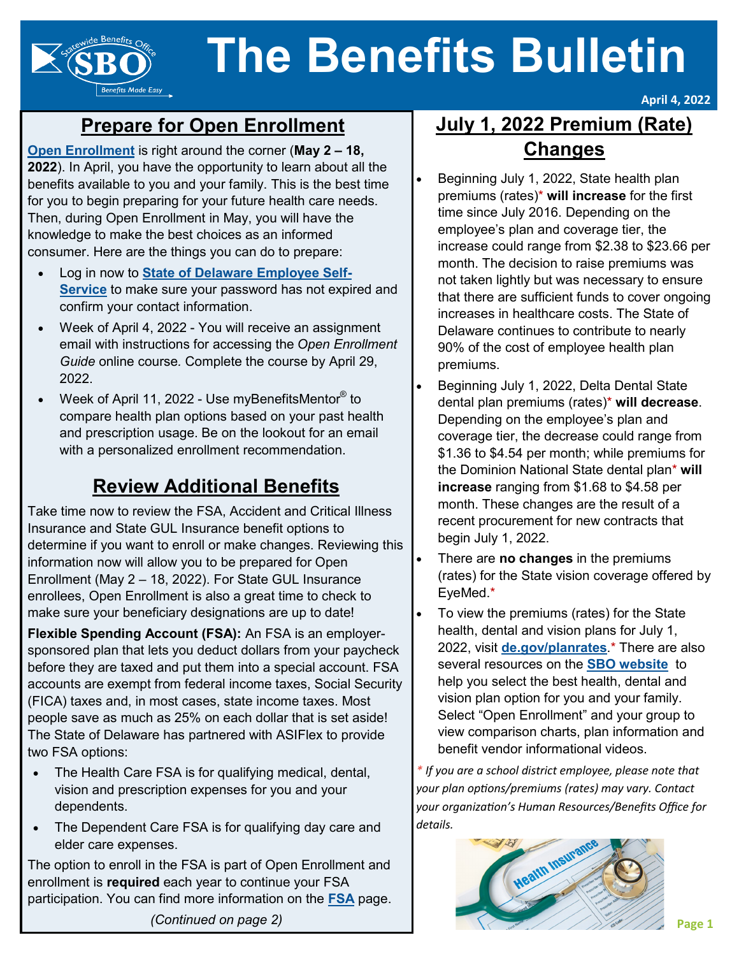# **The Benefits Bulletin**

## **Prepare for Open Enrollment**

**Benefits Made Easy** 

**[Open Enrollment](https://dhr.delaware.gov/benefits/oe/index.shtml?utm_source=Newsletter&utm_medium=Article&utm_campaign=BB202204OpenEnrollment)** is right around the corner (**May 2 – 18, 2022**). In April, you have the opportunity to learn about all the benefits available to you and your family. This is the best time for you to begin preparing for your future health care needs. Then, during Open Enrollment in May, you will have the knowledge to make the best choices as an informed consumer. Here are the things you can do to prepare:

- Log in now to **[State of Delaware Employee Self](https://employeeselfservice.omb.delaware.gov/)-[Service](https://employeeselfservice.omb.delaware.gov/)** to make sure your password has not expired and confirm your contact information.
- Week of April 4, 2022 You will receive an assignment email with instructions for accessing the *Open Enrollment Guide* online course*.* Complete the course by April 29, 2022.
- Week of April 11, 2022 Use myBenefitsMentor<sup>®</sup> to compare health plan options based on your past health and prescription usage. Be on the lookout for an email with a personalized enrollment recommendation.

## **Review Additional Benefits**

Take time now to review the FSA, Accident and Critical Illness Insurance and State GUL Insurance benefit options to determine if you want to enroll or make changes. Reviewing this information now will allow you to be prepared for Open Enrollment (May 2 – 18, 2022). For State GUL Insurance enrollees, Open Enrollment is also a great time to check to make sure your beneficiary designations are up to date!

**Flexible Spending Account (FSA):** An FSA is an employersponsored plan that lets you deduct dollars from your paycheck before they are taxed and put them into a special account. FSA accounts are exempt from federal income taxes, Social Security (FICA) taxes and, in most cases, state income taxes. Most people save as much as 25% on each dollar that is set aside! The State of Delaware has partnered with ASIFlex to provide two FSA options:

- The Health Care FSA is for qualifying medical, dental, vision and prescription expenses for you and your dependents.
- The Dependent Care FSA is for qualifying day care and elder care expenses.

The option to enroll in the FSA is part of Open Enrollment and enrollment is **required** each year to continue your FSA participation. You can find more information on the **[FSA](https://dhr.delaware.gov/benefits/fsa/index.shtml?utm_source=Newsletter&utm_medium=Article&utm_campaign=BB202204FSA)** page.

## **July 1, 2022 Premium (Rate) Changes**

**April 4, 2022**

- Beginning July 1, 2022, State health plan premiums (rates)\* **will increase** for the first time since July 2016. Depending on the employee's plan and coverage tier, the increase could range from \$2.38 to \$23.66 per month. The decision to raise premiums was not taken lightly but was necessary to ensure that there are sufficient funds to cover ongoing increases in healthcare costs. The State of Delaware continues to contribute to nearly 90% of the cost of employee health plan premiums.
- Beginning July 1, 2022, Delta Dental State dental plan premiums (rates)\* **will decrease**. Depending on the employee's plan and coverage tier, the decrease could range from \$1.36 to \$4.54 per month; while premiums for the Dominion National State dental plan\* **will increase** ranging from \$1.68 to \$4.58 per month. These changes are the result of a recent procurement for new contracts that begin July 1, 2022.
- There are **no changes** in the premiums (rates) for the State vision coverage offered by EyeMed.\*
- To view the premiums (rates) for the State health, dental and vision plans for July 1, 2022, visit **[de.gov/planrates](https://de.gov/planrates)**.\* There are also several resources on the **[SBO website](https://dhr.delaware.gov/benefits/?utm_source=Newsletter&utm_medium=Article&utm_campaign=BB202204SBO)** to help you select the best health, dental and vision plan option for you and your family. Select "Open Enrollment" and your group to view comparison charts, plan information and benefit vendor informational videos.

*\* If you are a school district employee, please note that your plan options/premiums (rates) may vary. Contact your organization's Human Resources/Benefits Office for details.*